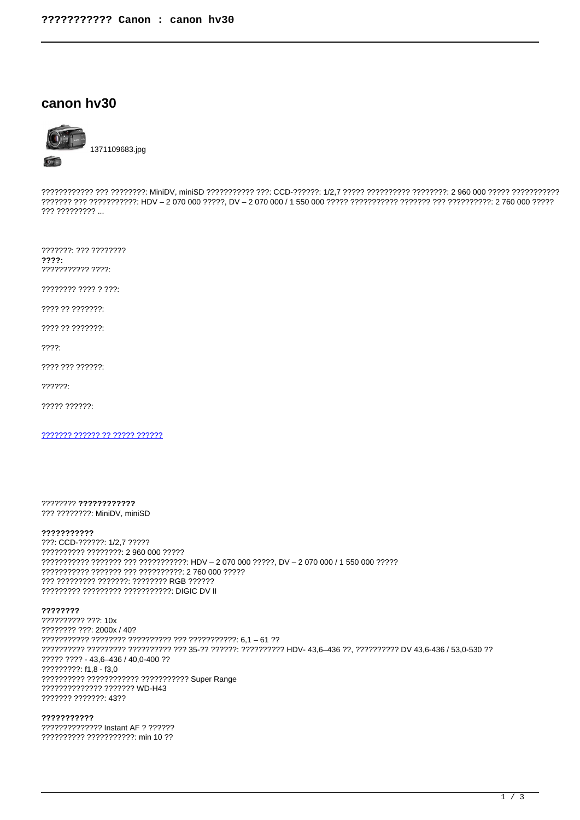# canon hv30



 $222222222$ 

???????: ??? ????????  $777?$ ??????????? ????:

???????? ???? ? ???:

???? ?? ???????

???? ?? ???????

 $??\,?\.$ 

???? ??? ??????:

 $22222.$ 

????? ??????:

??????? ?????? ?? ????? ??????

???????? ???????????? ??? ????????? MiniDV, miniSD

### ???????????

???: CCD-??????: 1/2.7 ????? ?????????? ????????: 2 960 000 ????? ??????????? ??????? ??? ??????????? HDV - 2 070 000 ?????, DV - 2 070 000 / 1 550 000 ????? 2222222222222222222222222222222222234000022222 ??? ????????? ???????: ???????? RGB ?????? ????????? ????????? ??????????? DIGIC DV II

???????? ?????????? ???: 10x ???????? ???: 2000x / 40? ?????????? ????????? ?????????? ??? 35-?? ??????: ?????????? HDV- 43,6-436 ??, ?????????? DV 43,6-436 / 53,0-530 ?? ????? ???? - 43.6-436 / 40.0-400 ?? ?????????: f1.8 - f3.0 ?????????? ???????????? ??????????? Super Range ?????????????? ??????? WD-H43 ??????? ???????: 43??

??????????? ????????????? Instant AF ? ?????? ?????????? ???????????? min 10 ??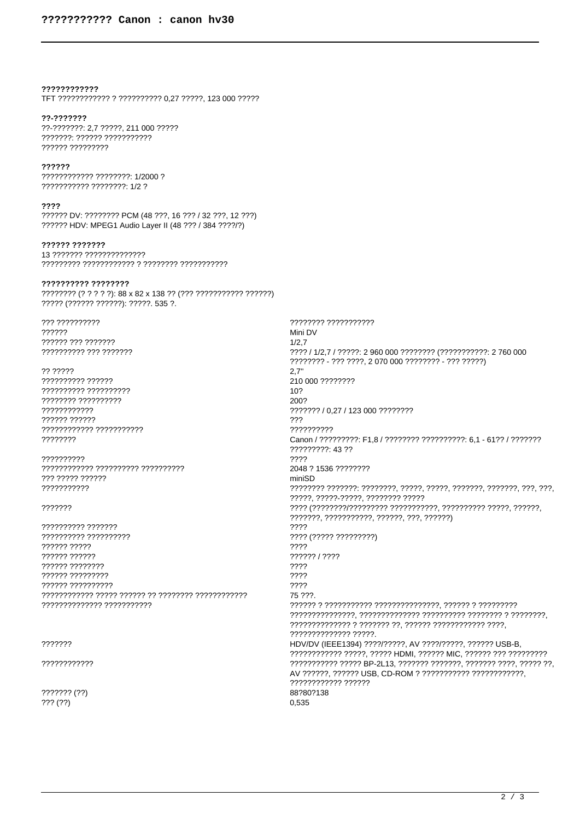# 777777777777

TFT ???????????? ? ?????????? 0,27 ?????, 123 000 ?????

### ??-???????

??-???????: 2,7 ?????, 211 000 ????? ???????: ?????? ??????????? ?????? ?????????

# ??????

??????????? ????????: 1/2000 ? ??????????? ???????? 1/2 ?

#### ????

?????? DV: ???????? PCM (48 ???. 16 ??? / 32 ???. 12 ???) ?????? HDV: MPEG1 Audio Layer II (48 ??? / 384 ????/?)

# 

13 ??????? ?????????????? 

### ?????????? ????????

???????? (? ? ? ? ?): 88 x 82 x 138 ?? (??? ?????????? ??????) ????? (?????? ??????): ?????. 535 ?.

??? ?????????? 222222 ?????? ??? ??????? ?????????? ??? ???????

?? ????? 7777777777 7777777777 ???????? ?????????? ???????????? ?????? ?????? ???????????? ??????????? ????????

?????????? 777 77777 777777 ???????????

## 2222222

?????????? ??????? ?????????? ?????????? ?????? ????? ?????? ?????? 777777 77777777 ?????? ????????? ?????? ?????????? 

# ???????

????????????

??????? (??)  $???$   $(?)$ 

???????? ??????????? Mini DV  $1/2.7$ ???? / 1/2,7 / ?????: 2 960 000 ???????? (??????????? 2 760 000 ???????? - ??? ????. 2 070 000 ???????? - ??? ?????)  $2,7"$ 210 000 ????????  $10<sub>2</sub>$ 2002 ??????? / 0.27 / 123 000 ???????? 222 ?????????? Canon / ?????????: F1,8 / ???????? ??????????: 6,1 - 61?? / ???????? ?????????: 43 ?? ???? 2048 ? 1536 ???????? miniSD ?????. ?????-?????. ???????? ????? ??????, ???????????, ?????, ???, ??????) ???? ???? (????? ?????????) ???? ?????? / ???? ???? ???? ???? 75 222 ?????????????? ?????. HDV/DV (IEEE1394) ????/?????, AV ????/?????, ?????? USB-B, ???????????? ?????, ????? HDMI, ?????? MIC, ?????? ??? ?????????? ??????????? ????? BP-2L13, ??????? ???????, ??????? ????, ????? ??, AV ??????, ?????? USB, CD-ROM ? ??????????? ?????????????, ???????????? ?????? 882802138 0,535